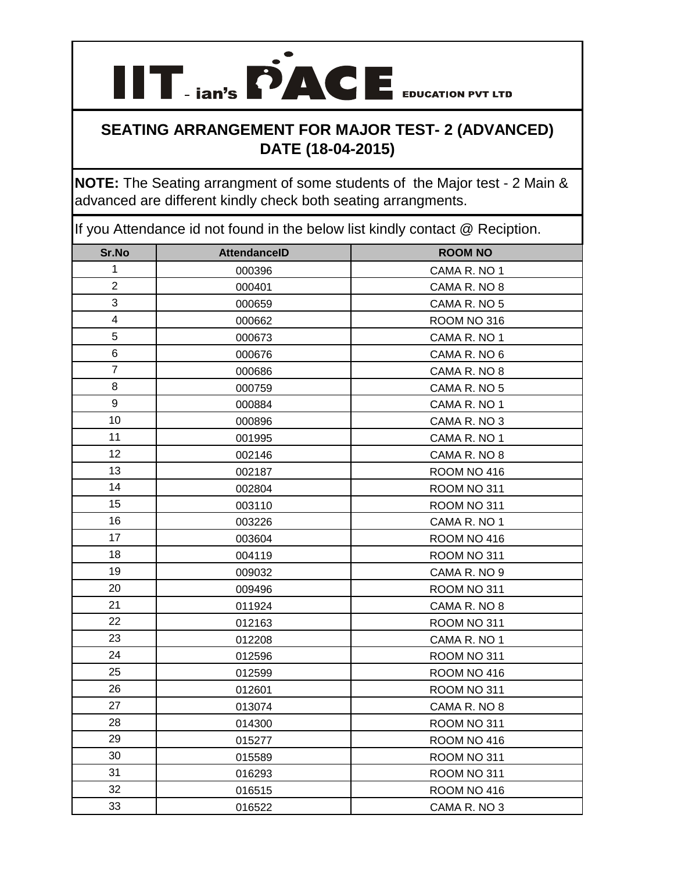**IIT ian's PACE** EDUCATION PVT LTD

**NOTE:** The Seating arrangment of some students of the Major test - 2 Main & advanced are different kindly check both seating arrangments.

| Sr.No                   | <b>AttendanceID</b> | <b>ROOM NO</b> |
|-------------------------|---------------------|----------------|
| $\mathbf{1}$            | 000396              | CAMA R. NO 1   |
| $\overline{2}$          | 000401              | CAMA R. NO 8   |
| 3                       | 000659              | CAMA R. NO 5   |
| $\overline{\mathbf{4}}$ | 000662              | ROOM NO 316    |
| 5                       | 000673              | CAMA R. NO 1   |
| 6                       | 000676              | CAMA R. NO 6   |
| $\overline{7}$          | 000686              | CAMA R. NO 8   |
| 8                       | 000759              | CAMA R. NO 5   |
| 9                       | 000884              | CAMA R. NO 1   |
| 10                      | 000896              | CAMA R. NO 3   |
| 11                      | 001995              | CAMA R. NO 1   |
| 12                      | 002146              | CAMA R. NO 8   |
| 13                      | 002187              | ROOM NO 416    |
| 14                      | 002804              | ROOM NO 311    |
| 15                      | 003110              | ROOM NO 311    |
| 16                      | 003226              | CAMA R. NO 1   |
| 17                      | 003604              | ROOM NO 416    |
| 18                      | 004119              | ROOM NO 311    |
| 19                      | 009032              | CAMA R. NO 9   |
| 20                      | 009496              | ROOM NO 311    |
| 21                      | 011924              | CAMA R. NO 8   |
| 22                      | 012163              | ROOM NO 311    |
| 23                      | 012208              | CAMA R. NO 1   |
| 24                      | 012596              | ROOM NO 311    |
| 25                      | 012599              | ROOM NO 416    |
| 26                      | 012601              | ROOM NO 311    |
| 27                      | 013074              | CAMA R. NO 8   |
| 28                      | 014300              | ROOM NO 311    |
| 29                      | 015277              | ROOM NO 416    |
| 30                      | 015589              | ROOM NO 311    |
| 31                      | 016293              | ROOM NO 311    |
| 32                      | 016515              | ROOM NO 416    |
| 33                      | 016522              | CAMA R. NO 3   |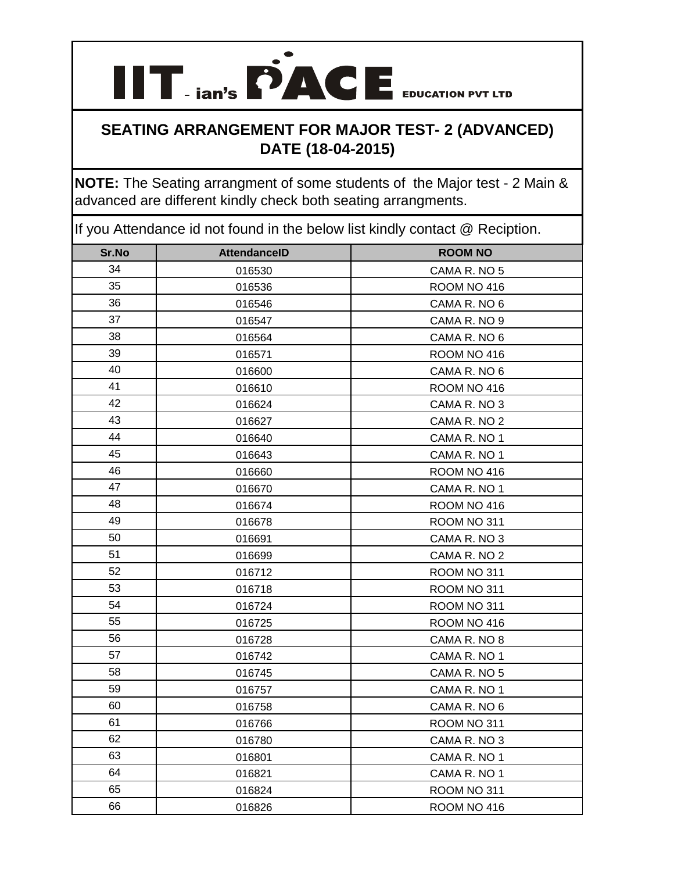**IIT ian's PACE** EDUCATION PVT LTD

**NOTE:** The Seating arrangment of some students of the Major test - 2 Main & advanced are different kindly check both seating arrangments.

| Sr.No | <b>AttendanceID</b> | <b>ROOM NO</b> |
|-------|---------------------|----------------|
| 34    | 016530              | CAMA R. NO 5   |
| 35    | 016536              | ROOM NO 416    |
| 36    | 016546              | CAMA R. NO 6   |
| 37    | 016547              | CAMA R. NO 9   |
| 38    | 016564              | CAMA R. NO 6   |
| 39    | 016571              | ROOM NO 416    |
| 40    | 016600              | CAMA R. NO 6   |
| 41    | 016610              | ROOM NO 416    |
| 42    | 016624              | CAMA R. NO 3   |
| 43    | 016627              | CAMA R. NO 2   |
| 44    | 016640              | CAMA R. NO 1   |
| 45    | 016643              | CAMA R. NO 1   |
| 46    | 016660              | ROOM NO 416    |
| 47    | 016670              | CAMA R. NO 1   |
| 48    | 016674              | ROOM NO 416    |
| 49    | 016678              | ROOM NO 311    |
| 50    | 016691              | CAMA R. NO 3   |
| 51    | 016699              | CAMA R. NO 2   |
| 52    | 016712              | ROOM NO 311    |
| 53    | 016718              | ROOM NO 311    |
| 54    | 016724              | ROOM NO 311    |
| 55    | 016725              | ROOM NO 416    |
| 56    | 016728              | CAMA R. NO 8   |
| 57    | 016742              | CAMA R. NO 1   |
| 58    | 016745              | CAMA R. NO 5   |
| 59    | 016757              | CAMA R. NO 1   |
| 60    | 016758              | CAMA R. NO 6   |
| 61    | 016766              | ROOM NO 311    |
| 62    | 016780              | CAMA R. NO 3   |
| 63    | 016801              | CAMA R. NO 1   |
| 64    | 016821              | CAMA R. NO 1   |
| 65    | 016824              | ROOM NO 311    |
| 66    | 016826              | ROOM NO 416    |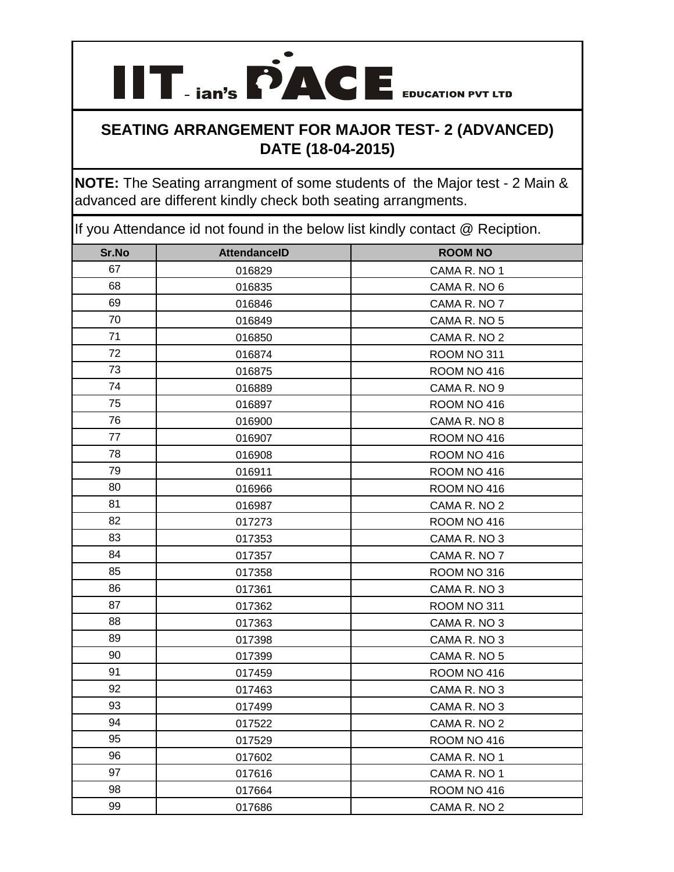**IIT ian's PACE** EDUCATION PVT LTD

**NOTE:** The Seating arrangment of some students of the Major test - 2 Main & advanced are different kindly check both seating arrangments.

| Sr.No | <b>AttendanceID</b> | <b>ROOM NO</b> |
|-------|---------------------|----------------|
| 67    | 016829              | CAMA R. NO 1   |
| 68    | 016835              | CAMA R. NO 6   |
| 69    | 016846              | CAMA R. NO 7   |
| 70    | 016849              | CAMA R. NO 5   |
| 71    | 016850              | CAMA R. NO 2   |
| 72    | 016874              | ROOM NO 311    |
| 73    | 016875              | ROOM NO 416    |
| 74    | 016889              | CAMA R. NO 9   |
| 75    | 016897              | ROOM NO 416    |
| 76    | 016900              | CAMA R. NO 8   |
| 77    | 016907              | ROOM NO 416    |
| 78    | 016908              | ROOM NO 416    |
| 79    | 016911              | ROOM NO 416    |
| 80    | 016966              | ROOM NO 416    |
| 81    | 016987              | CAMA R. NO 2   |
| 82    | 017273              | ROOM NO 416    |
| 83    | 017353              | CAMA R. NO 3   |
| 84    | 017357              | CAMA R. NO 7   |
| 85    | 017358              | ROOM NO 316    |
| 86    | 017361              | CAMA R. NO 3   |
| 87    | 017362              | ROOM NO 311    |
| 88    | 017363              | CAMA R. NO 3   |
| 89    | 017398              | CAMA R. NO 3   |
| 90    | 017399              | CAMA R. NO 5   |
| 91    | 017459              | ROOM NO 416    |
| 92    | 017463              | CAMA R. NO 3   |
| 93    | 017499              | CAMA R. NO 3   |
| 94    | 017522              | CAMA R. NO 2   |
| 95    | 017529              | ROOM NO 416    |
| 96    | 017602              | CAMA R. NO 1   |
| 97    | 017616              | CAMA R. NO 1   |
| 98    | 017664              | ROOM NO 416    |
| 99    | 017686              | CAMA R. NO 2   |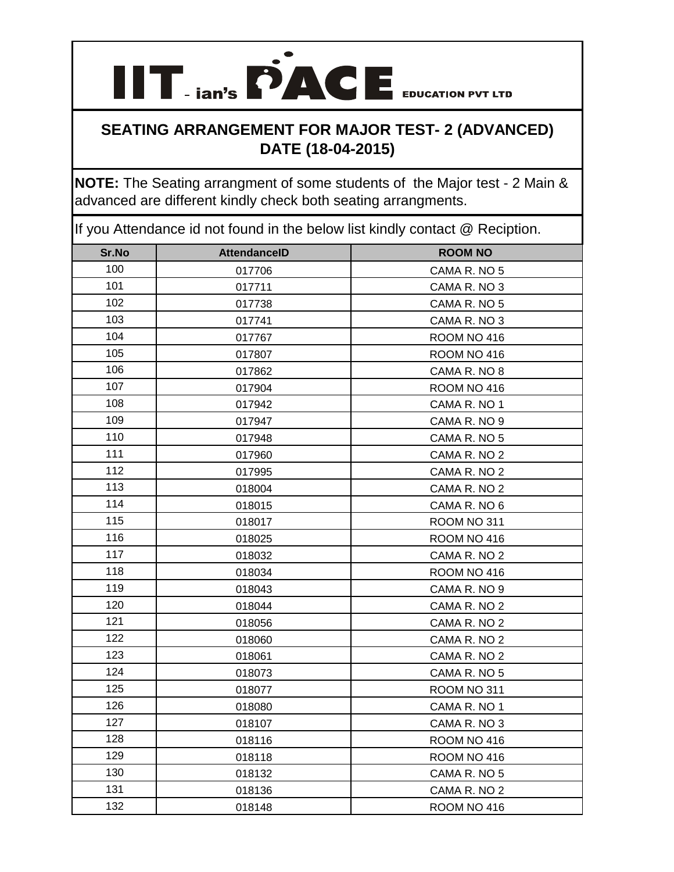**IIT ian's PACE** EDUCATION PVT LTD

**NOTE:** The Seating arrangment of some students of the Major test - 2 Main & advanced are different kindly check both seating arrangments.

| Sr.No | <b>AttendanceID</b> | <b>ROOM NO</b> |
|-------|---------------------|----------------|
| 100   | 017706              | CAMA R. NO 5   |
| 101   | 017711              | CAMA R. NO 3   |
| 102   | 017738              | CAMA R. NO 5   |
| 103   | 017741              | CAMA R. NO 3   |
| 104   | 017767              | ROOM NO 416    |
| 105   | 017807              | ROOM NO 416    |
| 106   | 017862              | CAMA R. NO 8   |
| 107   | 017904              | ROOM NO 416    |
| 108   | 017942              | CAMA R. NO 1   |
| 109   | 017947              | CAMA R. NO 9   |
| 110   | 017948              | CAMA R. NO 5   |
| 111   | 017960              | CAMA R. NO 2   |
| 112   | 017995              | CAMA R. NO 2   |
| 113   | 018004              | CAMA R. NO 2   |
| 114   | 018015              | CAMA R. NO 6   |
| 115   | 018017              | ROOM NO 311    |
| 116   | 018025              | ROOM NO 416    |
| 117   | 018032              | CAMA R. NO 2   |
| 118   | 018034              | ROOM NO 416    |
| 119   | 018043              | CAMA R. NO 9   |
| 120   | 018044              | CAMA R. NO 2   |
| 121   | 018056              | CAMA R. NO 2   |
| 122   | 018060              | CAMA R. NO 2   |
| 123   | 018061              | CAMA R. NO 2   |
| 124   | 018073              | CAMA R. NO 5   |
| 125   | 018077              | ROOM NO 311    |
| 126   | 018080              | CAMA R. NO 1   |
| 127   | 018107              | CAMA R. NO 3   |
| 128   | 018116              | ROOM NO 416    |
| 129   | 018118              | ROOM NO 416    |
| 130   | 018132              | CAMA R. NO 5   |
| 131   | 018136              | CAMA R. NO 2   |
| 132   | 018148              | ROOM NO 416    |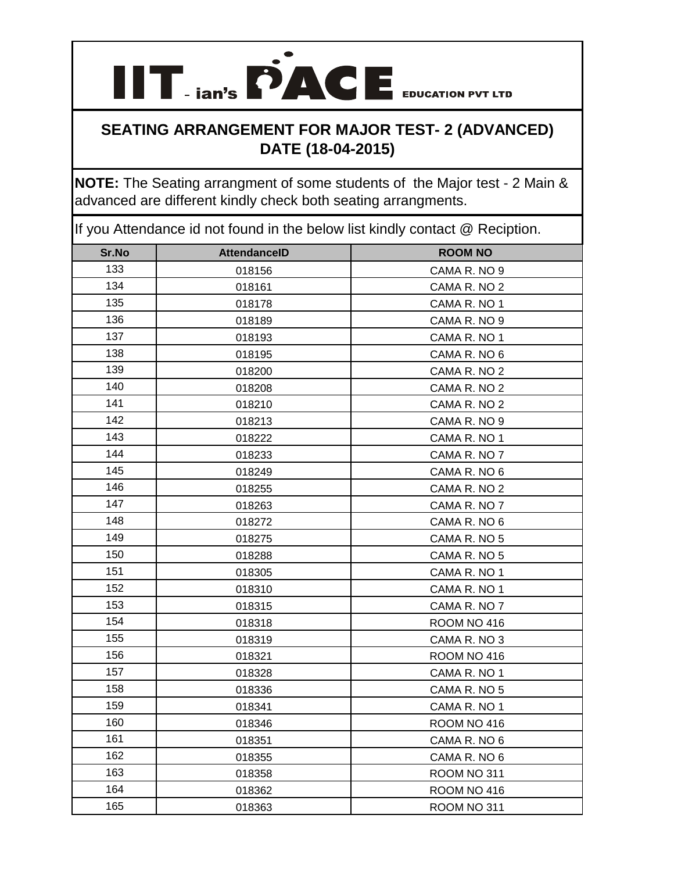**IIT ian's PACE** EDUCATION PVT LTD

**NOTE:** The Seating arrangment of some students of the Major test - 2 Main & advanced are different kindly check both seating arrangments.

| Sr.No | <b>AttendanceID</b> | <b>ROOM NO</b> |
|-------|---------------------|----------------|
| 133   | 018156              | CAMA R. NO 9   |
| 134   | 018161              | CAMA R. NO 2   |
| 135   | 018178              | CAMA R. NO 1   |
| 136   | 018189              | CAMA R. NO 9   |
| 137   | 018193              | CAMA R. NO 1   |
| 138   | 018195              | CAMA R. NO 6   |
| 139   | 018200              | CAMA R. NO 2   |
| 140   | 018208              | CAMA R. NO 2   |
| 141   | 018210              | CAMA R. NO 2   |
| 142   | 018213              | CAMA R. NO 9   |
| 143   | 018222              | CAMA R. NO 1   |
| 144   | 018233              | CAMA R. NO 7   |
| 145   | 018249              | CAMA R. NO 6   |
| 146   | 018255              | CAMA R. NO 2   |
| 147   | 018263              | CAMA R. NO 7   |
| 148   | 018272              | CAMA R. NO 6   |
| 149   | 018275              | CAMA R. NO 5   |
| 150   | 018288              | CAMA R. NO 5   |
| 151   | 018305              | CAMA R. NO 1   |
| 152   | 018310              | CAMA R. NO 1   |
| 153   | 018315              | CAMA R. NO 7   |
| 154   | 018318              | ROOM NO 416    |
| 155   | 018319              | CAMA R. NO 3   |
| 156   | 018321              | ROOM NO 416    |
| 157   | 018328              | CAMA R. NO 1   |
| 158   | 018336              | CAMA R. NO 5   |
| 159   | 018341              | CAMA R. NO 1   |
| 160   | 018346              | ROOM NO 416    |
| 161   | 018351              | CAMA R. NO 6   |
| 162   | 018355              | CAMA R. NO 6   |
| 163   | 018358              | ROOM NO 311    |
| 164   | 018362              | ROOM NO 416    |
| 165   | 018363              | ROOM NO 311    |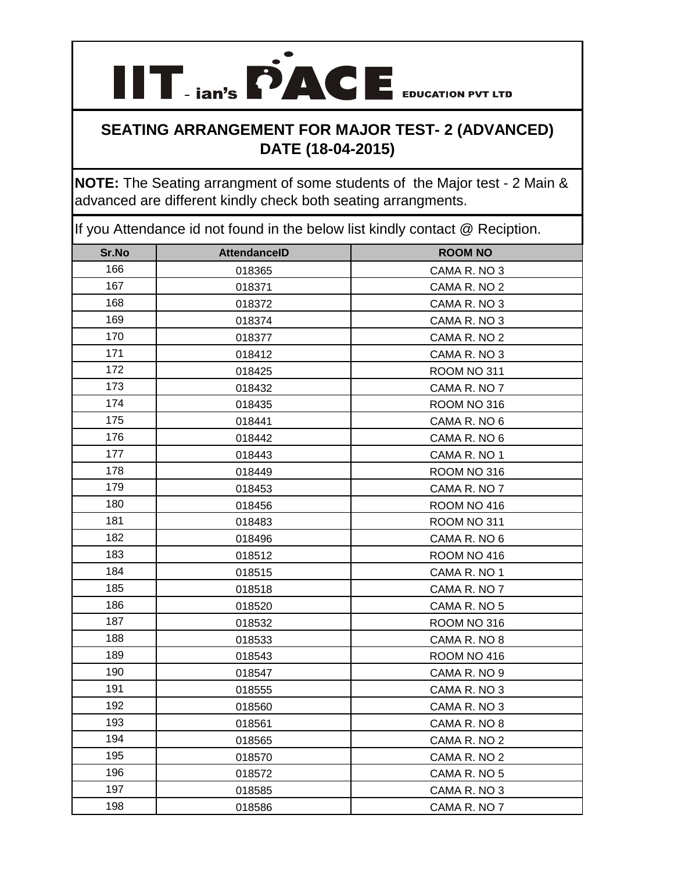**IIT ian's PACE** EDUCATION PVT LTD

**NOTE:** The Seating arrangment of some students of the Major test - 2 Main & advanced are different kindly check both seating arrangments.

| Sr.No | <b>AttendanceID</b> | <b>ROOM NO</b> |
|-------|---------------------|----------------|
| 166   | 018365              | CAMA R. NO 3   |
| 167   | 018371              | CAMA R. NO 2   |
| 168   | 018372              | CAMA R. NO 3   |
| 169   | 018374              | CAMA R. NO 3   |
| 170   | 018377              | CAMA R. NO 2   |
| 171   | 018412              | CAMA R. NO 3   |
| 172   | 018425              | ROOM NO 311    |
| 173   | 018432              | CAMA R. NO 7   |
| 174   | 018435              | ROOM NO 316    |
| 175   | 018441              | CAMA R. NO 6   |
| 176   | 018442              | CAMA R. NO 6   |
| 177   | 018443              | CAMA R. NO 1   |
| 178   | 018449              | ROOM NO 316    |
| 179   | 018453              | CAMA R. NO 7   |
| 180   | 018456              | ROOM NO 416    |
| 181   | 018483              | ROOM NO 311    |
| 182   | 018496              | CAMA R. NO 6   |
| 183   | 018512              | ROOM NO 416    |
| 184   | 018515              | CAMA R. NO 1   |
| 185   | 018518              | CAMA R. NO 7   |
| 186   | 018520              | CAMA R. NO 5   |
| 187   | 018532              | ROOM NO 316    |
| 188   | 018533              | CAMA R. NO 8   |
| 189   | 018543              | ROOM NO 416    |
| 190   | 018547              | CAMA R. NO 9   |
| 191   | 018555              | CAMA R. NO 3   |
| 192   | 018560              | CAMA R. NO 3   |
| 193   | 018561              | CAMA R. NO 8   |
| 194   | 018565              | CAMA R. NO 2   |
| 195   | 018570              | CAMA R. NO 2   |
| 196   | 018572              | CAMA R. NO 5   |
| 197   | 018585              | CAMA R. NO 3   |
| 198   | 018586              | CAMA R. NO 7   |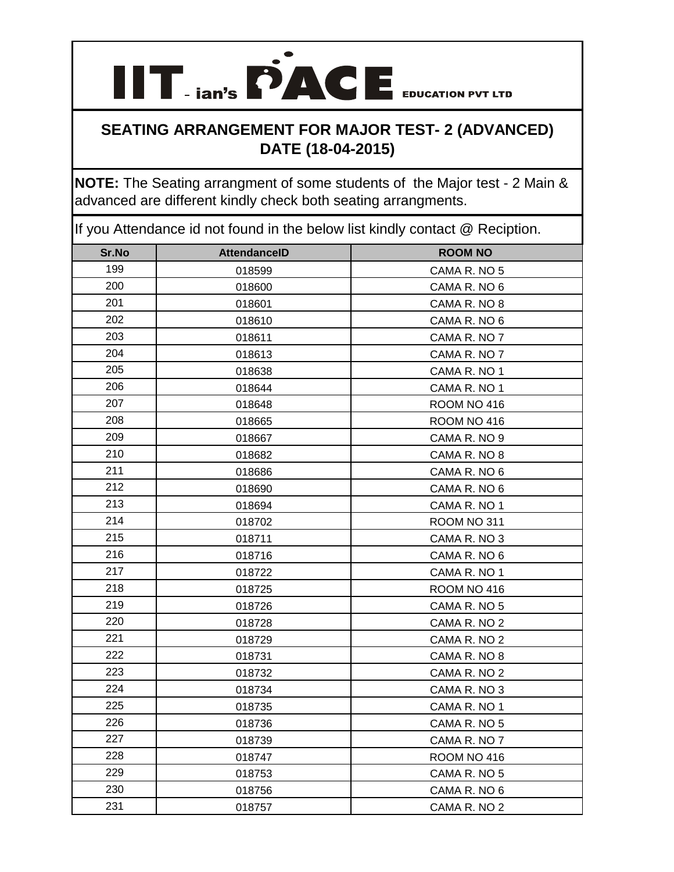**IIT ian's PACE** EDUCATION PVT LTD

**NOTE:** The Seating arrangment of some students of the Major test - 2 Main & advanced are different kindly check both seating arrangments.

| Sr.No | <b>AttendanceID</b> | <b>ROOM NO</b> |
|-------|---------------------|----------------|
| 199   | 018599              | CAMA R. NO 5   |
| 200   | 018600              | CAMA R. NO 6   |
| 201   | 018601              | CAMA R. NO 8   |
| 202   | 018610              | CAMA R. NO 6   |
| 203   | 018611              | CAMA R. NO 7   |
| 204   | 018613              | CAMA R. NO 7   |
| 205   | 018638              | CAMA R. NO 1   |
| 206   | 018644              | CAMA R. NO 1   |
| 207   | 018648              | ROOM NO 416    |
| 208   | 018665              | ROOM NO 416    |
| 209   | 018667              | CAMA R. NO 9   |
| 210   | 018682              | CAMA R. NO 8   |
| 211   | 018686              | CAMA R. NO 6   |
| 212   | 018690              | CAMA R. NO 6   |
| 213   | 018694              | CAMA R. NO 1   |
| 214   | 018702              | ROOM NO 311    |
| 215   | 018711              | CAMA R. NO 3   |
| 216   | 018716              | CAMA R. NO 6   |
| 217   | 018722              | CAMA R. NO 1   |
| 218   | 018725              | ROOM NO 416    |
| 219   | 018726              | CAMA R. NO 5   |
| 220   | 018728              | CAMA R. NO 2   |
| 221   | 018729              | CAMA R. NO 2   |
| 222   | 018731              | CAMA R. NO 8   |
| 223   | 018732              | CAMA R. NO 2   |
| 224   | 018734              | CAMA R. NO 3   |
| 225   | 018735              | CAMA R. NO 1   |
| 226   | 018736              | CAMA R. NO 5   |
| 227   | 018739              | CAMA R. NO 7   |
| 228   | 018747              | ROOM NO 416    |
| 229   | 018753              | CAMA R. NO 5   |
| 230   | 018756              | CAMA R. NO 6   |
| 231   | 018757              | CAMA R. NO 2   |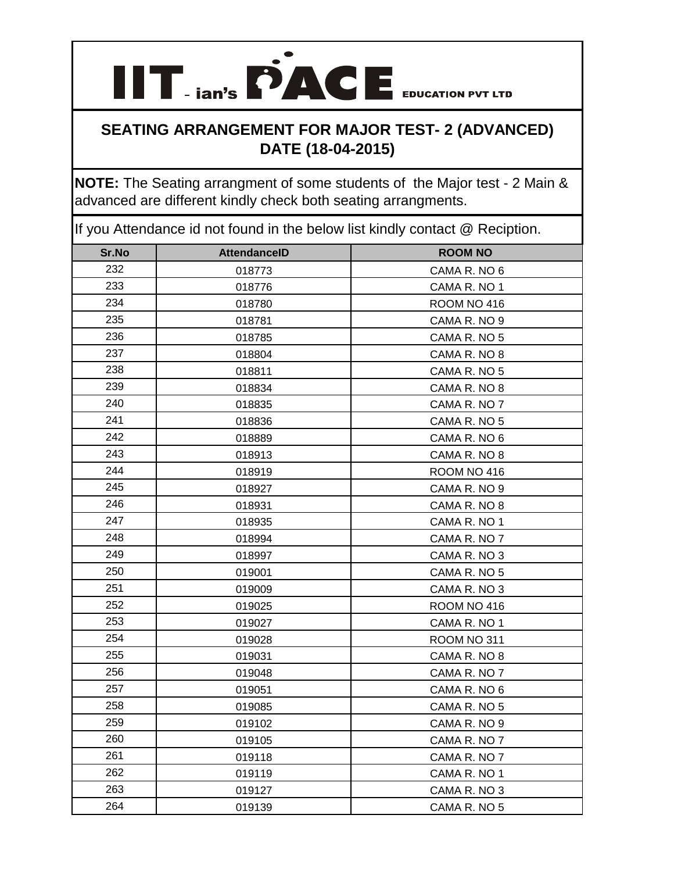**IIT ian's PACE** EDUCATION PVT LTD

**NOTE:** The Seating arrangment of some students of the Major test - 2 Main & advanced are different kindly check both seating arrangments.

| Sr.No | <b>AttendanceID</b> | <b>ROOM NO</b> |
|-------|---------------------|----------------|
| 232   | 018773              | CAMA R. NO 6   |
| 233   | 018776              | CAMA R. NO 1   |
| 234   | 018780              | ROOM NO 416    |
| 235   | 018781              | CAMA R. NO 9   |
| 236   | 018785              | CAMA R. NO 5   |
| 237   | 018804              | CAMA R. NO 8   |
| 238   | 018811              | CAMA R. NO 5   |
| 239   | 018834              | CAMA R. NO 8   |
| 240   | 018835              | CAMA R. NO 7   |
| 241   | 018836              | CAMA R. NO 5   |
| 242   | 018889              | CAMA R. NO 6   |
| 243   | 018913              | CAMA R. NO 8   |
| 244   | 018919              | ROOM NO 416    |
| 245   | 018927              | CAMA R. NO 9   |
| 246   | 018931              | CAMA R. NO 8   |
| 247   | 018935              | CAMA R. NO 1   |
| 248   | 018994              | CAMA R. NO 7   |
| 249   | 018997              | CAMA R. NO 3   |
| 250   | 019001              | CAMA R. NO 5   |
| 251   | 019009              | CAMA R. NO 3   |
| 252   | 019025              | ROOM NO 416    |
| 253   | 019027              | CAMA R. NO 1   |
| 254   | 019028              | ROOM NO 311    |
| 255   | 019031              | CAMA R. NO 8   |
| 256   | 019048              | CAMA R. NO 7   |
| 257   | 019051              | CAMA R. NO 6   |
| 258   | 019085              | CAMA R. NO 5   |
| 259   | 019102              | CAMA R. NO 9   |
| 260   | 019105              | CAMA R. NO 7   |
| 261   | 019118              | CAMA R. NO 7   |
| 262   | 019119              | CAMA R. NO 1   |
| 263   | 019127              | CAMA R. NO 3   |
| 264   | 019139              | CAMA R. NO 5   |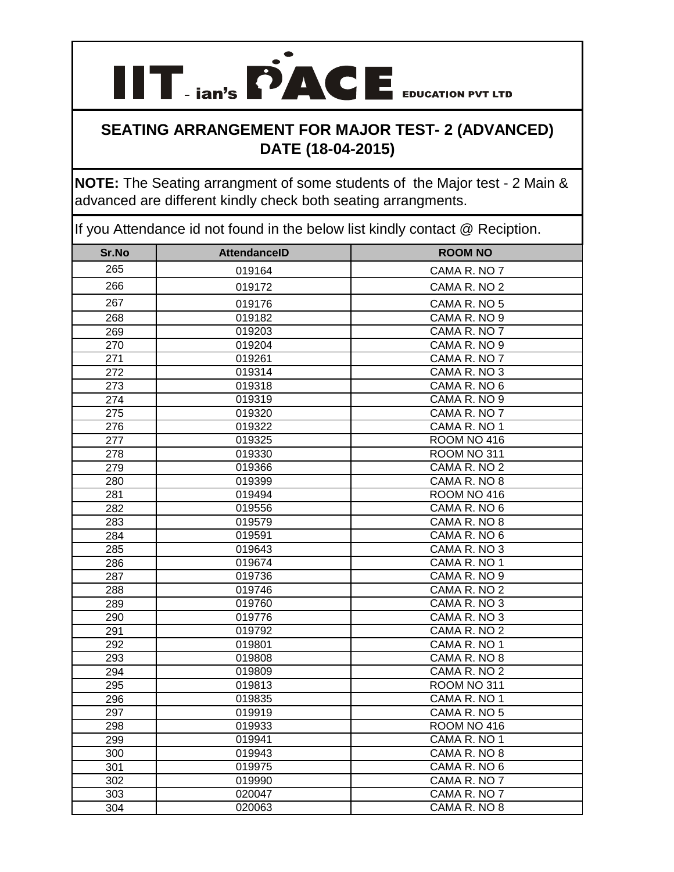

**NOTE:** The Seating arrangment of some students of the Major test - 2 Main & advanced are different kindly check both seating arrangments.

| Sr.No            | <b>AttendanceID</b> | <b>ROOM NO</b> |
|------------------|---------------------|----------------|
| 265              | 019164              | CAMA R. NO 7   |
| 266              | 019172              | CAMA R. NO 2   |
| 267              | 019176              | CAMA R. NO 5   |
| 268              | 019182              | CAMA R. NO 9   |
| 269              | 019203              | CAMA R. NO 7   |
| 270              | 019204              | CAMA R. NO 9   |
| 271              | 019261              | CAMA R. NO 7   |
| $\overline{272}$ | 019314              | CAMA R. NO 3   |
| $\overline{273}$ | 019318              | CAMA R. NO 6   |
| 274              | 019319              | CAMA R. NO 9   |
| 275              | 019320              | CAMA R. NO 7   |
| 276              | 019322              | CAMA R. NO 1   |
| $\overline{277}$ | 019325              | ROOM NO 416    |
| 278              | 019330              | ROOM NO 311    |
| 279              | 019366              | CAMA R. NO 2   |
| 280              | 019399              | CAMA R. NO 8   |
| 281              | 019494              | ROOM NO 416    |
| 282              | 019556              | CAMA R. NO 6   |
| 283              | 019579              | CAMA R. NO 8   |
| 284              | 019591              | CAMA R. NO 6   |
| 285              | 019643              | CAMA R. NO 3   |
| 286              | 019674              | CAMA R. NO 1   |
| 287              | 019736              | CAMA R. NO 9   |
| 288              | 019746              | CAMA R. NO 2   |
| 289              | 019760              | CAMA R. NO 3   |
| 290              | 019776              | CAMA R. NO 3   |
| 291              | 019792              | CAMA R. NO 2   |
| 292              | 019801              | CAMA R. NO 1   |
| 293              | 019808              | CAMA R. NO 8   |
| 294              | 019809              | CAMA R. NO 2   |
| 295              | 019813              | ROOM NO 311    |
| 296              | 019835              | CAMA R. NO 1   |
| 297              | 019919              | CAMA R. NO 5   |
| 298              | 019933              | ROOM NO 416    |
| 299              | 019941              | CAMA R. NO 1   |
| 300              | 019943              | CAMA R. NO 8   |
| 301              | 019975              | CAMA R. NO 6   |
| 302              | 019990              | CAMA R. NO 7   |
| 303              | 020047              | CAMA R. NO 7   |
| 304              | 020063              | CAMA R. NO 8   |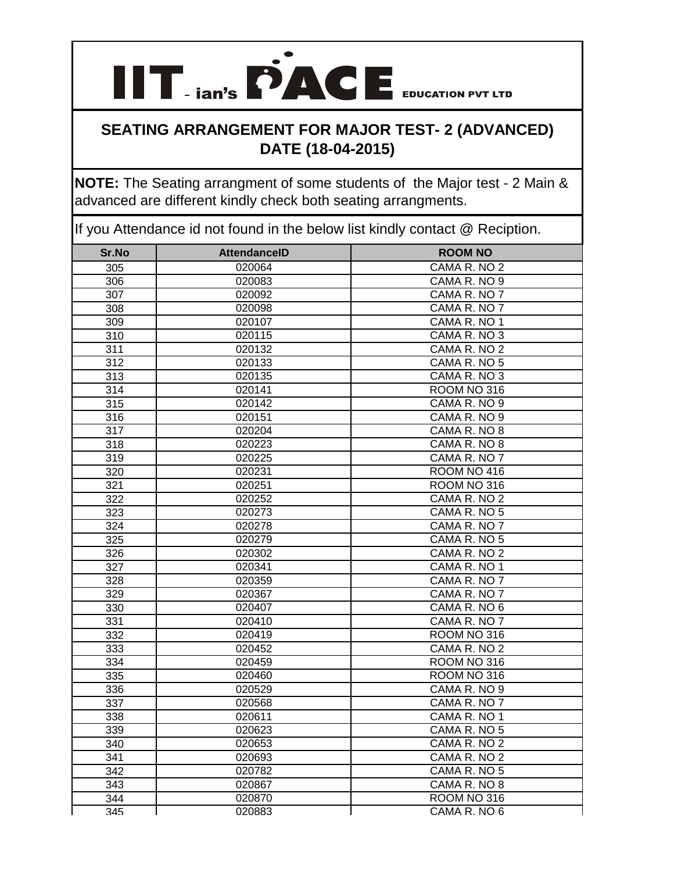### **SEATING ARRANGEMENT FOR MAJOR TEST- 2 (ADVANCED) DATE (18-04-2015)**

**NOTE:** The Seating arrangment of some students of the Major test - 2 Main & advanced are different kindly check both seating arrangments.

| Sr.No            | <b>AttendanceID</b> | <b>ROOM NO</b> |
|------------------|---------------------|----------------|
| 305              | 020064              | CAMA R. NO 2   |
| 306              | 020083              | CAMA R. NO 9   |
| 307              | 020092              | CAMA R. NO 7   |
| 308              | 020098              | CAMA R. NO 7   |
| 309              | 020107              | CAMA R. NO 1   |
| $\overline{310}$ | 020115              | CAMA R. NO 3   |
| 311              | 020132              | CAMA R. NO 2   |
| 312              | 020133              | CAMA R. NO 5   |
| 313              | 020135              | CAMA R. NO 3   |
| 314              | 020141              | ROOM NO 316    |
| 315              | 020142              | CAMA R. NO 9   |
| 316              | 020151              | CAMA R. NO 9   |
| $\overline{317}$ | 020204              | CAMA R. NO 8   |
| 318              | 020223              | CAMA R. NO 8   |
| 319              | 020225              | CAMA R. NO 7   |
| 320              | 020231              | ROOM NO 416    |
| 321              | 020251              | ROOM NO 316    |
| 322              | 020252              | CAMA R. NO 2   |
| 323              | 020273              | CAMA R. NO 5   |
| 324              | 020278              | CAMA R. NO 7   |
| 325              | 020279              | CAMA R. NO 5   |
| 326              | 020302              | CAMA R. NO 2   |
| 327              | 020341              | CAMA R. NO 1   |
| 328              | 020359              | CAMA R. NO 7   |
| 329              | 020367              | CAMA R. NO 7   |
| 330              | 020407              | CAMA R. NO 6   |
| 331              | 020410              | CAMA R. NO 7   |
| 332              | 020419              | ROOM NO 316    |
| 333              | 020452              | CAMA R. NO 2   |
| 334              | 020459              | ROOM NO 316    |
| 335              | 020460              | ROOM NO 316    |
| 336              | 020529              | CAMA R. NO 9   |
| 337              | 020568              | CAMA R. NO 7   |
| 338              | 020611              | CAMA R. NO 1   |
| 339              | 020623              | CAMA R. NO 5   |
| 340              | 020653              | CAMA R. NO 2   |
| 341              | 020693              | CAMA R. NO 2   |
| 342              | 020782              | CAMA R. NO 5   |
| 343              | 020867              | CAMA R. NO 8   |
| 344              | 020870              | ROOM NO 316    |
| 345              | 020883              | CAMA R. NO 6   |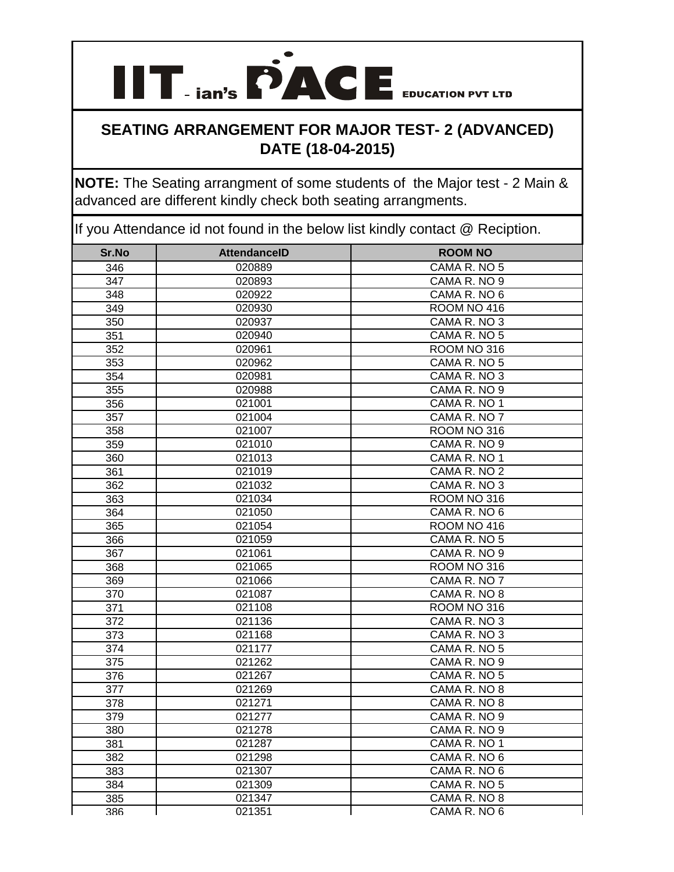# **IIT ian's PACE** EDUCATION PVT LTD **SEATING ARRANGEMENT FOR MAJOR TEST- 2 (ADVANCED)**

# **DATE (18-04-2015)**

**NOTE:** The Seating arrangment of some students of the Major test - 2 Main & advanced are different kindly check both seating arrangments.

| Sr.No            | <b>AttendanceID</b> | <b>ROOM NO</b> |
|------------------|---------------------|----------------|
| 346              | 020889              | CAMA R. NO 5   |
| 347              | 020893              | CAMA R. NO 9   |
| 348              | 020922              | CAMA R. NO 6   |
| 349              | 020930              | ROOM NO 416    |
| 350              | 020937              | CAMA R. NO 3   |
| 351              | 020940              | CAMA R. NO 5   |
| 352              | 020961              | ROOM NO 316    |
| 353              | 020962              | CAMA R. NO 5   |
| 354              | 020981              | CAMA R. NO 3   |
| 355              | 020988              | CAMA R. NO 9   |
| 356              | 021001              | CAMA R. NO 1   |
| 357              | 021004              | CAMA R. NO 7   |
| 358              | 021007              | ROOM NO 316    |
| 359              | 021010              | CAMA R. NO 9   |
| 360              | 021013              | CAMA R. NO 1   |
| 361              | 021019              | CAMA R. NO 2   |
| 362              | 021032              | CAMA R. NO 3   |
| 363              | 021034              | ROOM NO 316    |
| 364              | 021050              | CAMA R. NO 6   |
| 365              | $\overline{02}1054$ | ROOM NO 416    |
| 366              | 021059              | CAMA R. NO 5   |
| 367              | 021061              | CAMA R. NO 9   |
| 368              | 021065              | ROOM NO 316    |
| 369              | 021066              | CAMA R. NO 7   |
| 370              | 021087              | CAMA R. NO 8   |
| 371              | 021108              | ROOM NO 316    |
| 372              | 021136              | CAMA R. NO 3   |
| 373              | 021168              | CAMA R. NO 3   |
| $\overline{374}$ | 021177              | CAMA R. NO 5   |
| 375              | 021262              | CAMA R. NO 9   |
| 376              | 021267              | CAMA R. NO 5   |
| $\overline{377}$ | 021269              | CAMA R. NO 8   |
| 378              | 021271              | CAMA R. NO 8   |
| 379              | 021277              | CAMA R. NO 9   |
| 380              | 021278              | CAMA R. NO 9   |
| 381              | 021287              | CAMA R. NO 1   |
| 382              | 021298              | CAMA R. NO 6   |
| 383              | 021307              | CAMA R. NO 6   |
| 384              | 021309              | CAMA R. NO 5   |
| 385              | 021347              | CAMA R. NO 8   |
| 386              | 021351              | CAMA R. NO 6   |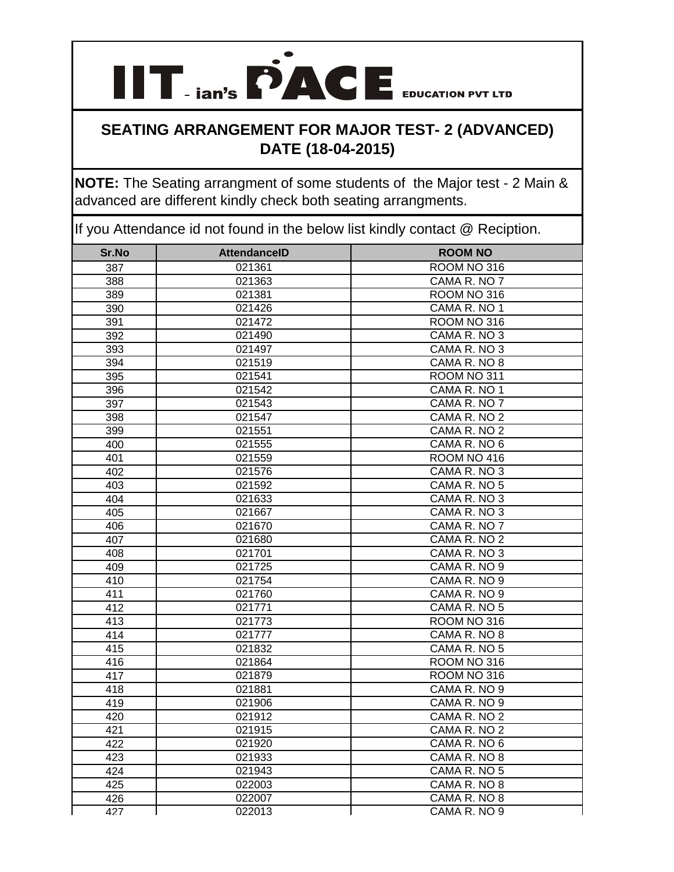

**NOTE:** The Seating arrangment of some students of the Major test - 2 Main & advanced are different kindly check both seating arrangments.

| Sr.No | <b>AttendanceID</b> | <b>ROOM NO</b> |
|-------|---------------------|----------------|
| 387   | 021361              | ROOM NO 316    |
| 388   | 021363              | CAMA R. NO 7   |
| 389   | 021381              | ROOM NO 316    |
| 390   | 021426              | CAMA R. NO 1   |
| 391   | 021472              | ROOM NO 316    |
| 392   | 021490              | CAMA R. NO 3   |
| 393   | 021497              | CAMA R. NO 3   |
| 394   | 021519              | CAMA R. NO 8   |
| 395   | 021541              | ROOM NO 311    |
| 396   | 021542              | CAMA R. NO 1   |
| 397   | 021543              | CAMA R. NO 7   |
| 398   | 021547              | CAMA R. NO 2   |
| 399   | 021551              | CAMA R. NO 2   |
| 400   | 021555              | CAMA R. NO 6   |
| 401   | 021559              | ROOM NO 416    |
| 402   | 021576              | CAMA R. NO 3   |
| 403   | 021592              | CAMA R. NO 5   |
| 404   | 021633              | CAMA R. NO 3   |
| 405   | 021667              | CAMA R. NO 3   |
| 406   | 021670              | CAMA R. NO 7   |
| 407   | 021680              | CAMA R. NO 2   |
| 408   | 021701              | CAMA R. NO 3   |
| 409   | 021725              | CAMA R. NO 9   |
| 410   | 021754              | CAMA R. NO 9   |
| 411   | 021760              | CAMA R. NO 9   |
| 412   | 021771              | CAMA R. NO 5   |
| 413   | 021773              | ROOM NO 316    |
| 414   | 021777              | CAMA R. NO 8   |
| 415   | 021832              | CAMA R. NO 5   |
| 416   | 021864              | ROOM NO 316    |
| 417   | 021879              | ROOM NO 316    |
| 418   | 021881              | CAMA R. NO 9   |
| 419   | 021906              | CAMA R. NO 9   |
| 420   | 021912              | CAMA R. NO 2   |
| 421   | 021915              | CAMA R. NO 2   |
| 422   | 021920              | CAMA R. NO 6   |
| 423   | 021933              | CAMA R. NO 8   |
| 424   | 021943              | CAMA R. NO 5   |
| 425   | 022003              | CAMA R. NO 8   |
| 426   | 022007              | CAMA R. NO 8   |
| 427   | 022013              | CAMA R. NO 9   |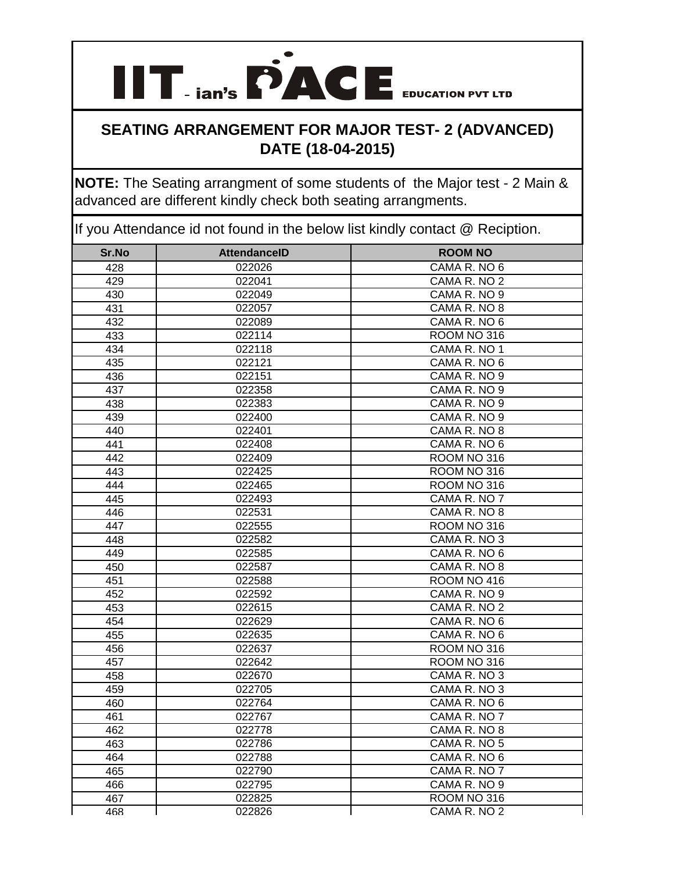### **SEATING ARRANGEMENT FOR MAJOR TEST- 2 (ADVANCED) DATE (18-04-2015)**

**NOTE:** The Seating arrangment of some students of the Major test - 2 Main & advanced are different kindly check both seating arrangments.

| Sr.No | <b>AttendanceID</b> | <b>ROOM NO</b> |
|-------|---------------------|----------------|
| 428   | 022026              | CAMA R. NO 6   |
| 429   | 022041              | CAMA R. NO 2   |
| 430   | 022049              | CAMA R. NO 9   |
| 431   | 022057              | CAMA R. NO 8   |
| 432   | 022089              | CAMA R. NO 6   |
| 433   | 022114              | ROOM NO 316    |
| 434   | 022118              | CAMA R. NO 1   |
| 435   | 022121              | CAMA R. NO 6   |
| 436   | 022151              | CAMA R. NO 9   |
| 437   | 022358              | CAMA R. NO 9   |
| 438   | 022383              | CAMA R. NO 9   |
| 439   | 022400              | CAMA R. NO 9   |
| 440   | 022401              | CAMA R. NO 8   |
| 441   | 022408              | CAMA R. NO 6   |
| 442   | 022409              | ROOM NO 316    |
| 443   | 022425              | ROOM NO 316    |
| 444   | 022465              | ROOM NO 316    |
| 445   | 022493              | CAMA R. NO 7   |
| 446   | 022531              | CAMA R. NO 8   |
| 447   | 022555              | ROOM NO 316    |
| 448   | 022582              | CAMA R. NO 3   |
| 449   | 022585              | CAMA R. NO 6   |
| 450   | 022587              | CAMA R. NO 8   |
| 451   | 022588              | ROOM NO 416    |
| 452   | 022592              | CAMA R. NO 9   |
| 453   | 022615              | CAMA R. NO 2   |
| 454   | 022629              | CAMA R. NO 6   |
| 455   | 022635              | CAMA R. NO 6   |
| 456   | 022637              | ROOM NO 316    |
| 457   | 022642              | ROOM NO 316    |
| 458   | 022670              | CAMA R. NO 3   |
| 459   | 022705              | CAMA R. NO 3   |
| 460   | 022764              | CAMA R. NO 6   |
| 461   | 022767              | CAMA R. NO 7   |
| 462   | 022778              | CAMA R. NO 8   |
| 463   | 022786              | CAMA R. NO 5   |
| 464   | 022788              | CAMA R. NO 6   |
| 465   | 022790              | CAMA R. NO 7   |
| 466   | 022795              | CAMA R. NO 9   |
| 467   | 022825              | ROOM NO 316    |
| 468   | 022826              | CAMA R. NO 2   |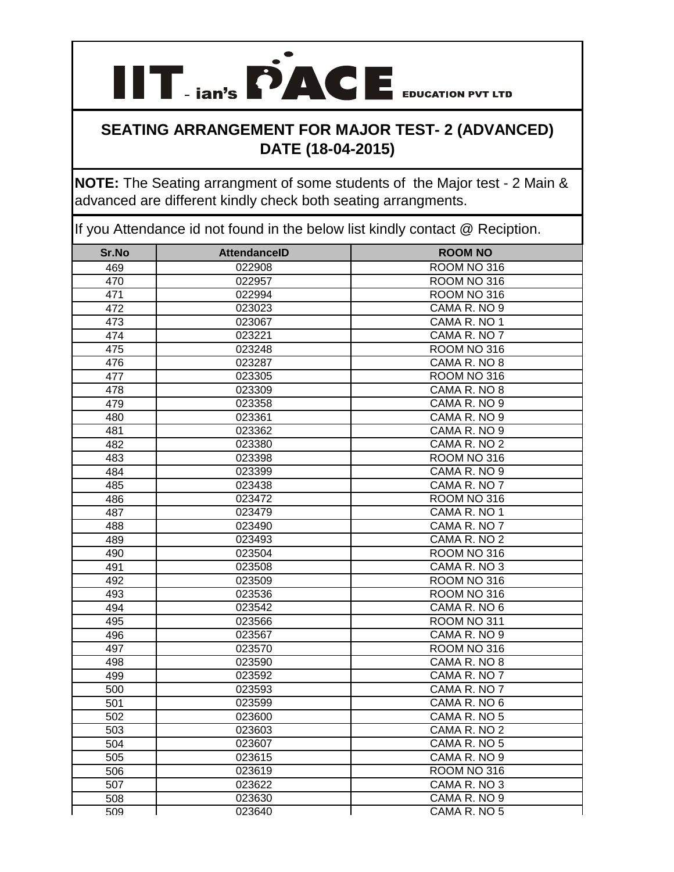### **SEATING ARRANGEMENT FOR MAJOR TEST- 2 (ADVANCED) DATE (18-04-2015)**

**NOTE:** The Seating arrangment of some students of the Major test - 2 Main & advanced are different kindly check both seating arrangments.

| Sr.No | <b>AttendanceID</b> | <b>ROOM NO</b> |
|-------|---------------------|----------------|
| 469   | 022908              | ROOM NO 316    |
| 470   | 022957              | ROOM NO 316    |
| 471   | 022994              | ROOM NO 316    |
| 472   | 023023              | CAMA R. NO 9   |
| 473   | 023067              | CAMA R. NO 1   |
| 474   | 023221              | CAMA R. NO 7   |
| 475   | 023248              | ROOM NO 316    |
| 476   | 023287              | CAMA R. NO 8   |
| 477   | 023305              | ROOM NO 316    |
| 478   | 023309              | CAMA R. NO 8   |
| 479   | 023358              | CAMA R. NO 9   |
| 480   | 023361              | CAMA R. NO 9   |
| 481   | 023362              | CAMA R. NO 9   |
| 482   | 023380              | CAMA R. NO 2   |
| 483   | 023398              | ROOM NO 316    |
| 484   | 023399              | CAMA R. NO 9   |
| 485   | 023438              | CAMA R. NO 7   |
| 486   | 023472              | ROOM NO 316    |
| 487   | 023479              | CAMA R. NO 1   |
| 488   | 023490              | CAMA R. NO 7   |
| 489   | 023493              | CAMA R. NO 2   |
| 490   | 023504              | ROOM NO 316    |
| 491   | 023508              | CAMA R. NO 3   |
| 492   | 023509              | ROOM NO 316    |
| 493   | 023536              | ROOM NO 316    |
| 494   | 023542              | CAMA R. NO 6   |
| 495   | 023566              | ROOM NO 311    |
| 496   | 023567              | CAMA R. NO 9   |
| 497   | 023570              | ROOM NO 316    |
| 498   | 023590              | CAMA R. NO 8   |
| 499   | 023592              | CAMA R. NO 7   |
| 500   | 023593              | CAMA R. NO 7   |
| 501   | 023599              | CAMA R. NO 6   |
| 502   | 023600              | CAMA R. NO 5   |
| 503   | 023603              | CAMA R. NO 2   |
| 504   | 023607              | CAMA R. NO 5   |
| 505   | 023615              | CAMA R. NO 9   |
| 506   | 023619              | ROOM NO 316    |
| 507   | 023622              | CAMA R. NO 3   |
| 508   | 023630              | CAMA R. NO 9   |
| 509   | 023640              | CAMA R. NO 5   |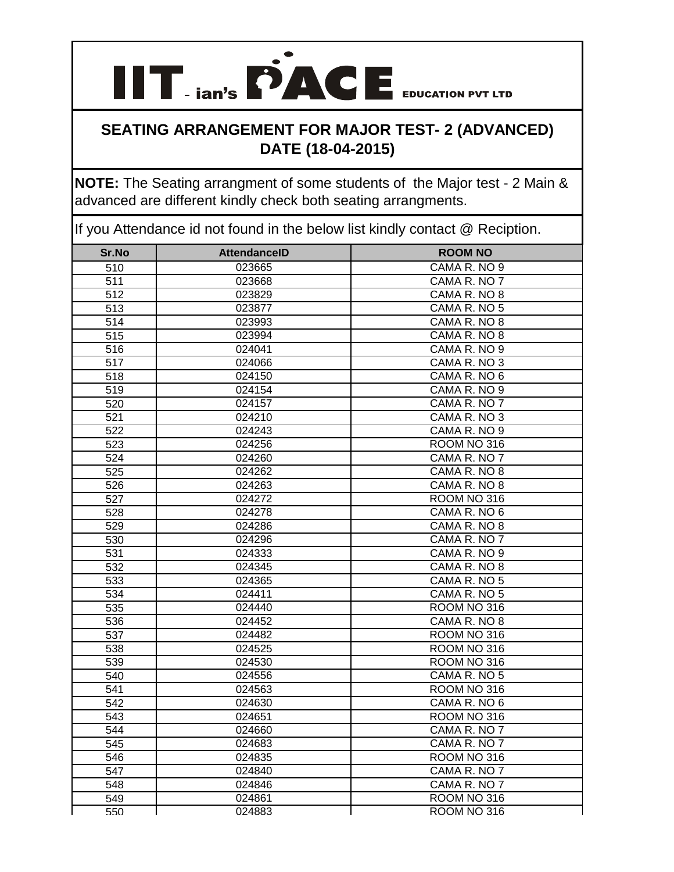### **SEATING ARRANGEMENT FOR MAJOR TEST- 2 (ADVANCED) DATE (18-04-2015)**

**NOTE:** The Seating arrangment of some students of the Major test - 2 Main & advanced are different kindly check both seating arrangments.

| Sr.No            | <b>AttendanceID</b> | <b>ROOM NO</b>     |
|------------------|---------------------|--------------------|
| 510              | 023665              | CAMA R. NO 9       |
| 511              | 023668              | CAMA R. NO 7       |
| $\overline{512}$ | 023829              | CAMA R. NO 8       |
| 513              | 023877              | CAMA R. NO 5       |
| 514              | 023993              | CAMA R. NO 8       |
| $\overline{515}$ | 023994              | CAMA R. NO 8       |
| 516              | 024041              | CAMA R. NO 9       |
| 517              | 024066              | CAMA R. NO 3       |
| 518              | 024150              | CAMA R. NO 6       |
| 519              | 024154              | CAMA R. NO 9       |
| 520              | 024157              | CAMA R. NO 7       |
| 521              | 024210              | CAMA R. NO 3       |
| 522              | 024243              | CAMA R. NO 9       |
| 523              | 024256              | <b>ROOM NO 316</b> |
| $\overline{524}$ | 024260              | CAMA R. NO 7       |
| 525              | 024262              | CAMA R. NO 8       |
| 526              | 024263              | CAMA R. NO 8       |
| 527              | 024272              | ROOM NO 316        |
| 528              | 024278              | CAMA R. NO 6       |
| 529              | 024286              | CAMA R. NO 8       |
| 530              | 024296              | CAMA R. NO 7       |
| 531              | 024333              | CAMA R. NO 9       |
| 532              | 024345              | CAMA R. NO 8       |
| 533              | 024365              | CAMA R. NO 5       |
| 534              | 024411              | CAMA R. NO 5       |
| 535              | 024440              | ROOM NO 316        |
| 536              | 024452              | CAMA R. NO 8       |
| 537              | 024482              | ROOM NO 316        |
| 538              | 024525              | ROOM NO 316        |
| 539              | 024530              | ROOM NO 316        |
| 540              | 024556              | CAMA R. NO 5       |
| 541              | 024563              | ROOM NO 316        |
| $\overline{542}$ | 024630              | CAMA R. NO 6       |
| 543              | 024651              | ROOM NO 316        |
| 544              | 024660              | CAMA R. NO 7       |
| 545              | 024683              | CAMA R. NO 7       |
| 546              | 024835              | ROOM NO 316        |
| 547              | 024840              | CAMA R. NO 7       |
| 548              | 024846              | CAMA R. NO 7       |
| 549              | 024861              | ROOM NO 316        |
| 550              | 024883              | ROOM NO 316        |